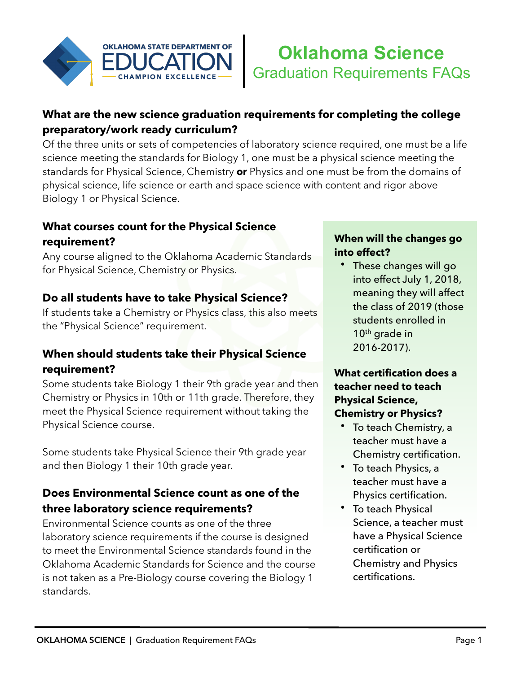

## **What are the new science graduation requirements for completing the college preparatory/work ready curriculum?**

Of the three units or sets of competencies of laboratory science required, one must be a life science meeting the standards for Biology 1, one must be a physical science meeting the standards for Physical Science, Chemistry **or** Physics and one must be from the domains of physical science, life science or earth and space science with content and rigor above Biology 1 or Physical Science.

#### **What courses count for the Physical Science requirement?**

Any course aligned to the Oklahoma Academic Standards for Physical Science, Chemistry or Physics.

## **Do all students have to take Physical Science?**

If students take a Chemistry or Physics class, this also meets the "Physical Science" requirement.

## **When should students take their Physical Science requirement?**

Some students take Biology 1 their 9th grade year and then Chemistry or Physics in 10th or 11th grade. Therefore, they meet the Physical Science requirement without taking the Physical Science course.

Some students take Physical Science their 9th grade year and then Biology 1 their 10th grade year.

## **Does Environmental Science count as one of the three laboratory science requirements?**

Environmental Science counts as one of the three laboratory science requirements if the course is designed to meet the Environmental Science standards found in the Oklahoma Academic Standards for Science and the course is not taken as a Pre-Biology course covering the Biology 1 standards.

#### **When will the changes go into effect?**

• These changes will go into effect July 1, 2018, meaning they will affect the class of 2019 (those students enrolled in  $10<sup>th</sup>$  grade in 2016-2017).

#### **What certification does a teacher need to teach Physical Science, Chemistry or Physics?**

- To teach Chemistry, a teacher must have a Chemistry certification.
- To teach Physics, a teacher must have a Physics certification.
- To teach Physical Science, a teacher must have a Physical Science certification or Chemistry and Physics certifications.